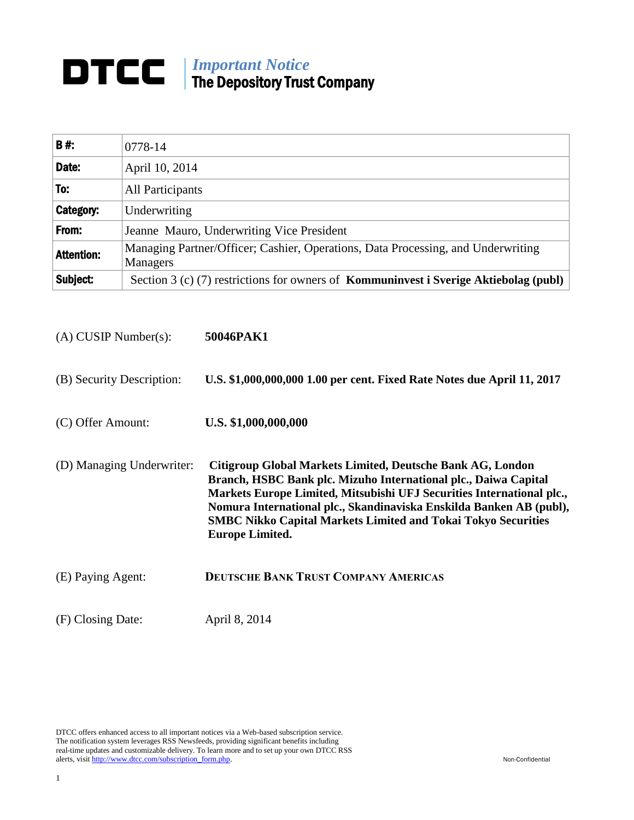## *Important Notice* The Depository Trust Company

| <b>B#:</b>        | 0778-14                                                                                      |
|-------------------|----------------------------------------------------------------------------------------------|
| Date:             | April 10, 2014                                                                               |
| To:               | All Participants                                                                             |
| <b>Category:</b>  | Underwriting                                                                                 |
| From:             | Jeanne Mauro, Underwriting Vice President                                                    |
| <b>Attention:</b> | Managing Partner/Officer; Cashier, Operations, Data Processing, and Underwriting<br>Managers |
| Subject:          | Section 3 (c) (7) restrictions for owners of <b>Kommuninvest i Sverige Aktiebolag (publ)</b> |

| $(A)$ CUSIP Number $(s)$ : | 50046PAK1                                                                                                                                                                                                                                                                                                                                                                       |
|----------------------------|---------------------------------------------------------------------------------------------------------------------------------------------------------------------------------------------------------------------------------------------------------------------------------------------------------------------------------------------------------------------------------|
| (B) Security Description:  | U.S. \$1,000,000,000 1.00 per cent. Fixed Rate Notes due April 11, 2017                                                                                                                                                                                                                                                                                                         |
| (C) Offer Amount:          | U.S. \$1,000,000,000                                                                                                                                                                                                                                                                                                                                                            |
| (D) Managing Underwriter:  | Citigroup Global Markets Limited, Deutsche Bank AG, London<br>Branch, HSBC Bank plc. Mizuho International plc., Daiwa Capital<br>Markets Europe Limited, Mitsubishi UFJ Securities International plc.,<br>Nomura International plc., Skandinaviska Enskilda Banken AB (publ),<br><b>SMBC Nikko Capital Markets Limited and Tokai Tokyo Securities</b><br><b>Europe Limited.</b> |
| (E) Paying Agent:          | <b>DEUTSCHE BANK TRUST COMPANY AMERICAS</b>                                                                                                                                                                                                                                                                                                                                     |
| (F) Closing Date:          | April 8, 2014                                                                                                                                                                                                                                                                                                                                                                   |

DTCC offers enhanced access to all important notices via a Web-based subscription service. The notification system leverages RSS Newsfeeds, providing significant benefits including real-time updates and customizable delivery. To learn more and to set up your own DTCC RSS alerts, visit http://www.dtcc.com/subscription\_form.php. Non-Confidential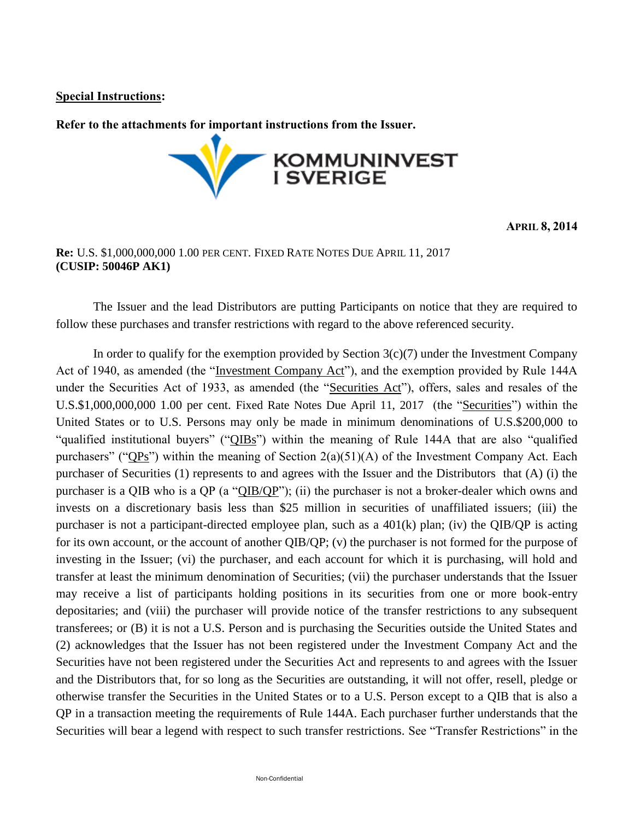## **Special Instructions:**

**Refer to the attachments for important instructions from the Issuer.**



**APRIL 8, 2014**

## **Re:** U.S. \$1,000,000,000 1.00 PER CENT. FIXED RATE NOTES DUE APRIL 11, 2017 **(CUSIP: 50046P AK1)**

The Issuer and the lead Distributors are putting Participants on notice that they are required to follow these purchases and transfer restrictions with regard to the above referenced security.

In order to qualify for the exemption provided by Section  $3(c)(7)$  under the Investment Company Act of 1940, as amended (the "Investment Company Act"), and the exemption provided by Rule 144A under the Securities Act of 1933, as amended (the "Securities Act"), offers, sales and resales of the U.S.\$1,000,000,000 1.00 per cent. Fixed Rate Notes Due April 11, 2017 (the "Securities") within the United States or to U.S. Persons may only be made in minimum denominations of U.S.\$200,000 to "qualified institutional buyers" ("QIBs") within the meaning of Rule 144A that are also "qualified purchasers" ("QPs") within the meaning of Section 2(a)(51)(A) of the Investment Company Act. Each purchaser of Securities (1) represents to and agrees with the Issuer and the Distributors that (A) (i) the purchaser is a QIB who is a QP (a "QIB/QP"); (ii) the purchaser is not a broker-dealer which owns and invests on a discretionary basis less than \$25 million in securities of unaffiliated issuers; (iii) the purchaser is not a participant-directed employee plan, such as a 401(k) plan; (iv) the QIB/QP is acting for its own account, or the account of another QIB/QP; (v) the purchaser is not formed for the purpose of investing in the Issuer; (vi) the purchaser, and each account for which it is purchasing, will hold and transfer at least the minimum denomination of Securities; (vii) the purchaser understands that the Issuer may receive a list of participants holding positions in its securities from one or more book-entry depositaries; and (viii) the purchaser will provide notice of the transfer restrictions to any subsequent transferees; or (B) it is not a U.S. Person and is purchasing the Securities outside the United States and (2) acknowledges that the Issuer has not been registered under the Investment Company Act and the Securities have not been registered under the Securities Act and represents to and agrees with the Issuer and the Distributors that, for so long as the Securities are outstanding, it will not offer, resell, pledge or otherwise transfer the Securities in the United States or to a U.S. Person except to a QIB that is also a QP in a transaction meeting the requirements of Rule 144A. Each purchaser further understands that the Securities will bear a legend with respect to such transfer restrictions. See "Transfer Restrictions" in the